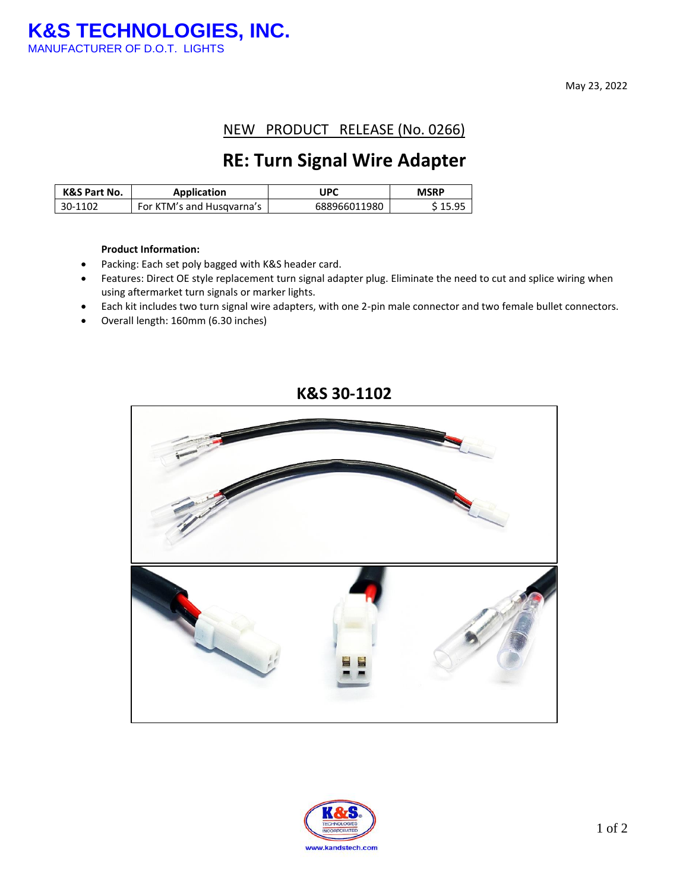May 23, 2022

NEW PRODUCT RELEASE (No. 0266)

## **RE: Turn Signal Wire Adapter**

| <b>K&amp;S Part No.</b> | <b>Application</b>        | UPC          | <b>MSRP</b> |
|-------------------------|---------------------------|--------------|-------------|
| 30-1102                 | For KTM's and Husqvarna's | 688966011980 | S 15.95     |

#### **Product Information:**

- Packing: Each set poly bagged with K&S header card.
- Features: Direct OE style replacement turn signal adapter plug. Eliminate the need to cut and splice wiring when using aftermarket turn signals or marker lights.
- Each kit includes two turn signal wire adapters, with one 2-pin male connector and two female bullet connectors.
- Overall length: 160mm (6.30 inches)